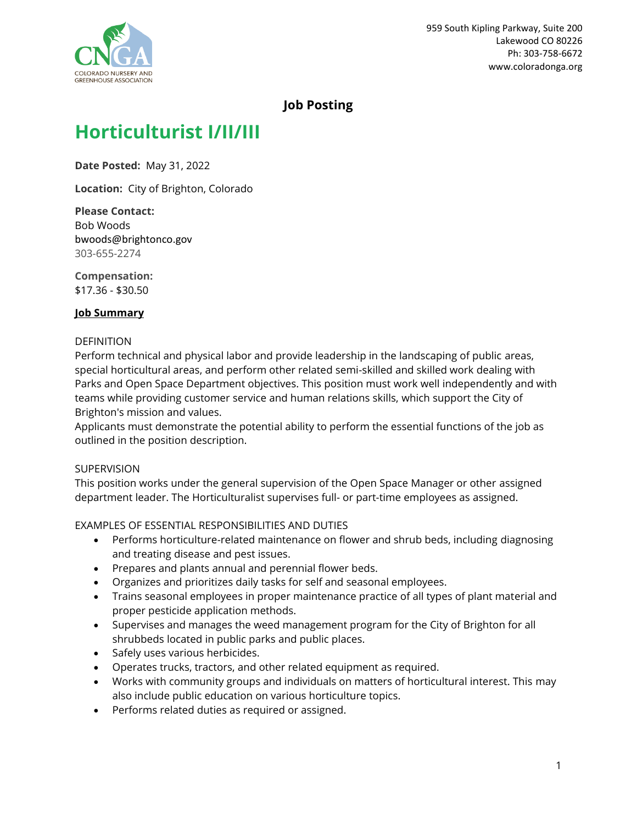

# **Job Posting**

# **Horticulturist I/II/III**

**Date Posted:** May 31, 2022

**Location:** City of Brighton, Colorado

**Please Contact:** Bob Woods bwoods@brightonco.gov 303-655-2274

**Compensation:** \$17.36 - \$30.50

# **Job Summary**

#### DEFINITION

Perform technical and physical labor and provide leadership in the landscaping of public areas, special horticultural areas, and perform other related semi-skilled and skilled work dealing with Parks and Open Space Department objectives. This position must work well independently and with teams while providing customer service and human relations skills, which support the City of Brighton's mission and values.

Applicants must demonstrate the potential ability to perform the essential functions of the job as outlined in the position description.

#### **SUPERVISION**

This position works under the general supervision of the Open Space Manager or other assigned department leader. The Horticulturalist supervises full- or part-time employees as assigned.

#### EXAMPLES OF ESSENTIAL RESPONSIBILITIES AND DUTIES

- Performs horticulture-related maintenance on flower and shrub beds, including diagnosing and treating disease and pest issues.
- Prepares and plants annual and perennial flower beds.
- Organizes and prioritizes daily tasks for self and seasonal employees.
- Trains seasonal employees in proper maintenance practice of all types of plant material and proper pesticide application methods.
- Supervises and manages the weed management program for the City of Brighton for all shrubbeds located in public parks and public places.
- Safely uses various herbicides.
- Operates trucks, tractors, and other related equipment as required.
- Works with community groups and individuals on matters of horticultural interest. This may also include public education on various horticulture topics.
- Performs related duties as required or assigned.